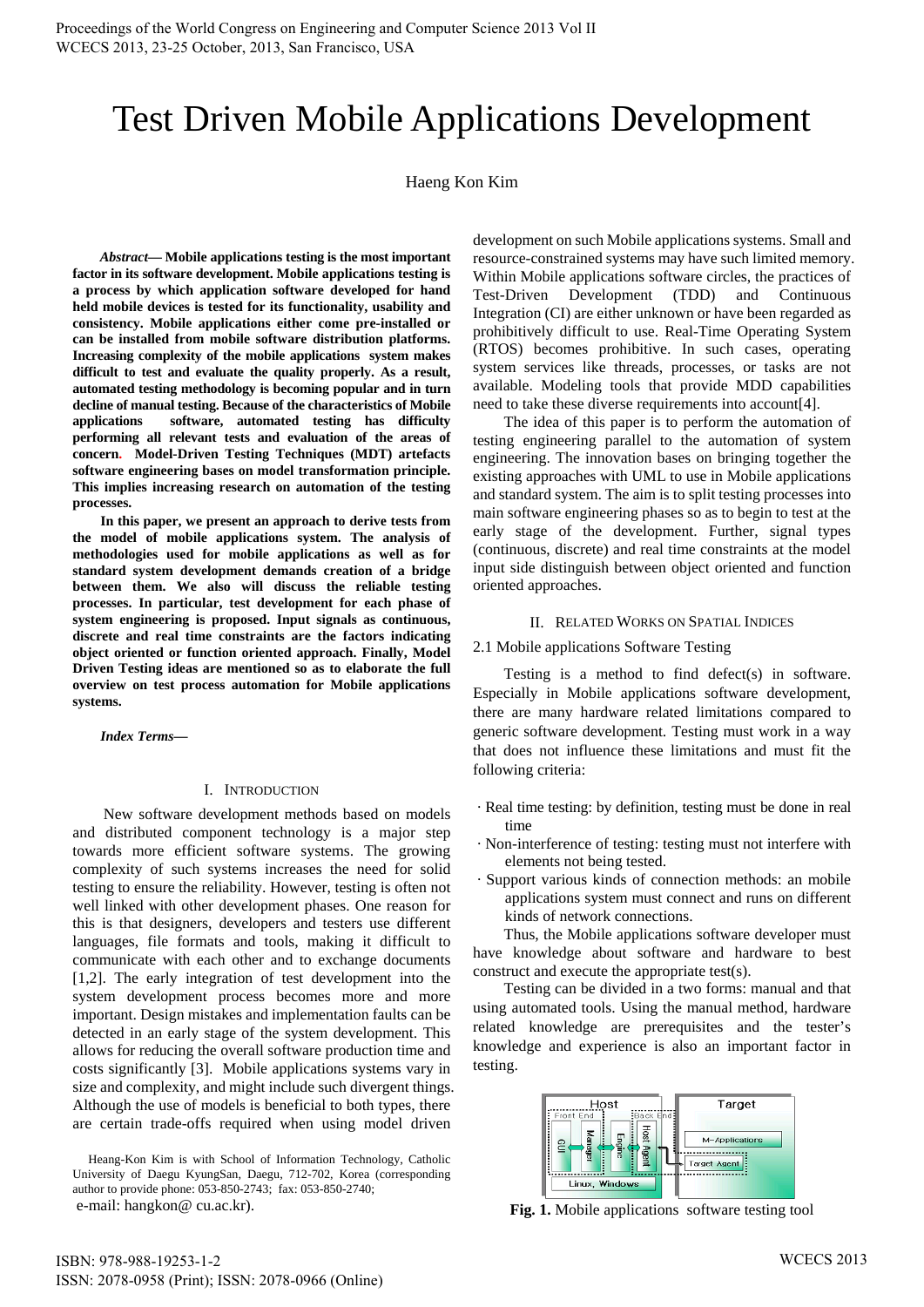# Test Driven Mobile Applications Development

# Haeng Kon Kim

*Abstract—* **Mobile applications testing is the most important factor in its software development. Mobile applications testing is a process by which application software developed for hand held mobile devices is tested for its functionality, usability and consistency. Mobile applications either come pre-installed or can be installed from mobile software distribution platforms. Increasing complexity of the mobile applications system makes difficult to test and evaluate the quality properly. As a result, automated testing methodology is becoming popular and in turn decline of manual testing. Because of the characteristics of Mobile applications software, automated testing has difficulty performing all relevant tests and evaluation of the areas of concern. Model-Driven Testing Techniques (MDT) artefacts software engineering bases on model transformation principle. This implies increasing research on automation of the testing processes.** 

**In this paper, we present an approach to derive tests from the model of mobile applications system. The analysis of methodologies used for mobile applications as well as for standard system development demands creation of a bridge between them. We also will discuss the reliable testing processes. In particular, test development for each phase of system engineering is proposed. Input signals as continuous, discrete and real time constraints are the factors indicating object oriented or function oriented approach. Finally, Model Driven Testing ideas are mentioned so as to elaborate the full overview on test process automation for Mobile applications systems.** 

*Index Terms***—** 

### I. INTRODUCTION

New software development methods based on models and distributed component technology is a major step towards more efficient software systems. The growing complexity of such systems increases the need for solid testing to ensure the reliability. However, testing is often not well linked with other development phases. One reason for this is that designers, developers and testers use different languages, file formats and tools, making it difficult to communicate with each other and to exchange documents [1,2]. The early integration of test development into the system development process becomes more and more important. Design mistakes and implementation faults can be detected in an early stage of the system development. This allows for reducing the overall software production time and costs significantly [3]. Mobile applications systems vary in size and complexity, and might include such divergent things. Although the use of models is beneficial to both types, there are certain trade-offs required when using model driven

Heang-Kon Kim is with School of Information Technology, Catholic University of Daegu KyungSan, Daegu, 712-702, Korea (corresponding author to provide phone: 053-850-2743; fax: 053-850-2740; e-mail: hangkon@ cu.ac.kr).

development on such Mobile applications systems. Small and resource-constrained systems may have such limited memory. Within Mobile applications software circles, the practices of Test-Driven Development (TDD) and Continuous Integration (CI) are either unknown or have been regarded as prohibitively difficult to use. Real-Time Operating System (RTOS) becomes prohibitive. In such cases, operating system services like threads, processes, or tasks are not available. Modeling tools that provide MDD capabilities need to take these diverse requirements into account[4].

The idea of this paper is to perform the automation of testing engineering parallel to the automation of system engineering. The innovation bases on bringing together the existing approaches with UML to use in Mobile applications and standard system. The aim is to split testing processes into main software engineering phases so as to begin to test at the early stage of the development. Further, signal types (continuous, discrete) and real time constraints at the model input side distinguish between object oriented and function oriented approaches.

#### II. RELATED WORKS ON SPATIAL INDICES

#### 2.1 Mobile applications Software Testing

Testing is a method to find defect(s) in software. Especially in Mobile applications software development, there are many hardware related limitations compared to generic software development. Testing must work in a way that does not influence these limitations and must fit the following criteria:

- · Real time testing: by definition, testing must be done in real time
- · Non-interference of testing: testing must not interfere with elements not being tested.
- · Support various kinds of connection methods: an mobile applications system must connect and runs on different kinds of network connections.

Thus, the Mobile applications software developer must have knowledge about software and hardware to best construct and execute the appropriate test(s).

Testing can be divided in a two forms: manual and that using automated tools. Using the manual method, hardware related knowledge are prerequisites and the tester's knowledge and experience is also an important factor in testing.



**Fig. 1.** Mobile applications software testing tool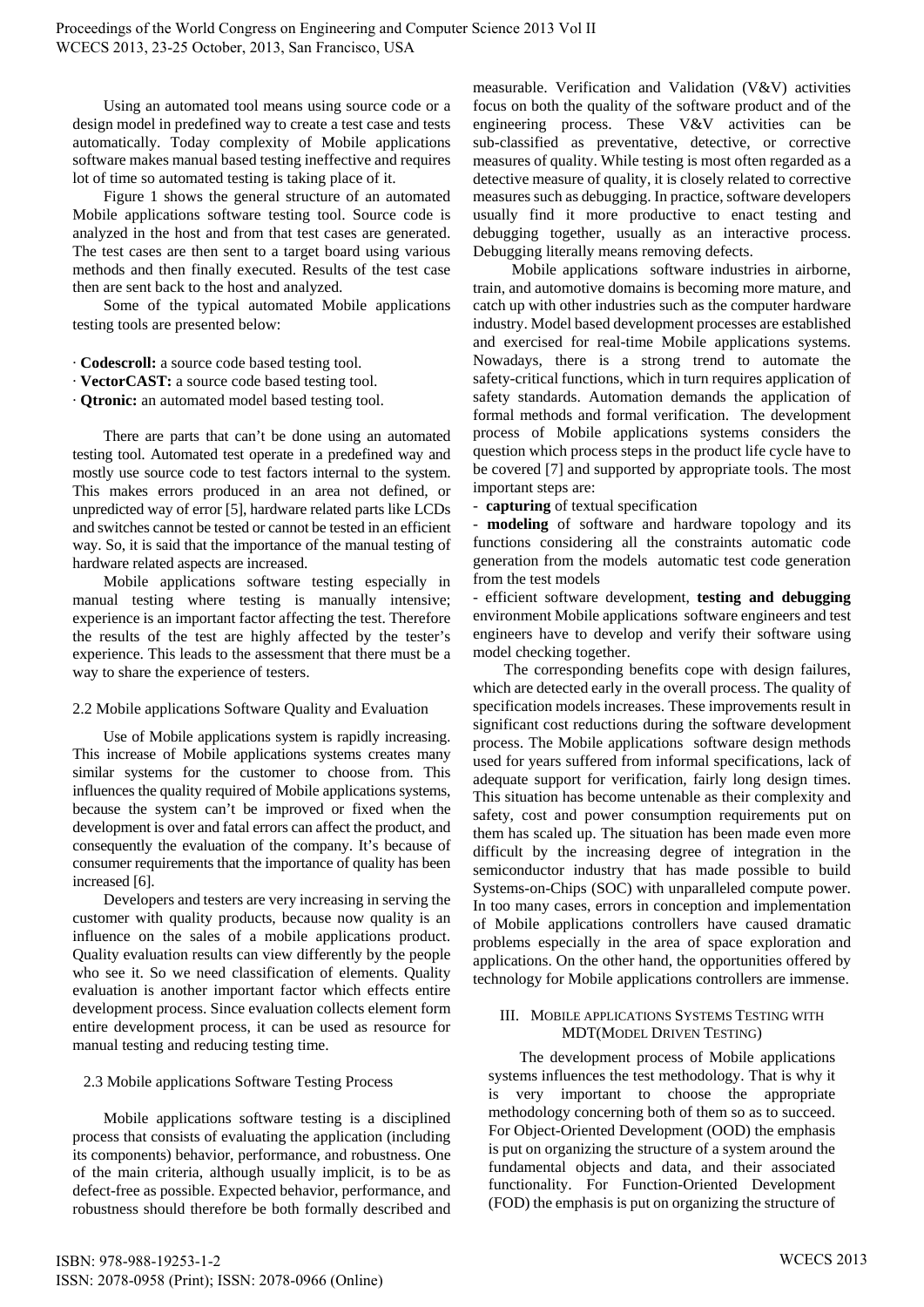Using an automated tool means using source code or a design model in predefined way to create a test case and tests automatically. Today complexity of Mobile applications software makes manual based testing ineffective and requires lot of time so automated testing is taking place of it.

Figure 1 shows the general structure of an automated Mobile applications software testing tool. Source code is analyzed in the host and from that test cases are generated. The test cases are then sent to a target board using various methods and then finally executed. Results of the test case then are sent back to the host and analyzed.

Some of the typical automated Mobile applications testing tools are presented below:

- · **Codescroll:** a source code based testing tool.
- · **VectorCAST:** a source code based testing tool.
- · **Qtronic:** an automated model based testing tool.

There are parts that can't be done using an automated testing tool. Automated test operate in a predefined way and mostly use source code to test factors internal to the system. This makes errors produced in an area not defined, or unpredicted way of error [5], hardware related parts like LCDs and switches cannot be tested or cannot be tested in an efficient way. So, it is said that the importance of the manual testing of hardware related aspects are increased.

Mobile applications software testing especially in manual testing where testing is manually intensive; experience is an important factor affecting the test. Therefore the results of the test are highly affected by the tester's experience. This leads to the assessment that there must be a way to share the experience of testers.

# 2.2 Mobile applications Software Quality and Evaluation

Use of Mobile applications system is rapidly increasing. This increase of Mobile applications systems creates many similar systems for the customer to choose from. This influences the quality required of Mobile applications systems, because the system can't be improved or fixed when the development is over and fatal errors can affect the product, and consequently the evaluation of the company. It's because of consumer requirements that the importance of quality has been increased [6].

Developers and testers are very increasing in serving the customer with quality products, because now quality is an influence on the sales of a mobile applications product. Quality evaluation results can view differently by the people who see it. So we need classification of elements. Quality evaluation is another important factor which effects entire development process. Since evaluation collects element form entire development process, it can be used as resource for manual testing and reducing testing time.

# 2.3 Mobile applications Software Testing Process

Mobile applications software testing is a disciplined process that consists of evaluating the application (including its components) behavior, performance, and robustness. One of the main criteria, although usually implicit, is to be as defect-free as possible. Expected behavior, performance, and robustness should therefore be both formally described and

ISSN: 2078-0958 (Print); ISSN: 2078-0966 (Online)

measurable. Verification and Validation (V&V) activities focus on both the quality of the software product and of the engineering process. These V&V activities can be sub-classified as preventative, detective, or corrective measures of quality. While testing is most often regarded as a detective measure of quality, it is closely related to corrective measures such as debugging. In practice, software developers usually find it more productive to enact testing and debugging together, usually as an interactive process. Debugging literally means removing defects.

 Mobile applications software industries in airborne, train, and automotive domains is becoming more mature, and catch up with other industries such as the computer hardware industry. Model based development processes are established and exercised for real-time Mobile applications systems. Nowadays, there is a strong trend to automate the safety-critical functions, which in turn requires application of safety standards. Automation demands the application of formal methods and formal verification. The development process of Mobile applications systems considers the question which process steps in the product life cycle have to be covered [7] and supported by appropriate tools. The most important steps are:

- **capturing** of textual specification

- **modeling** of software and hardware topology and its functions considering all the constraints automatic code generation from the models automatic test code generation from the test models

- efficient software development, **testing and debugging** environment Mobile applications software engineers and test engineers have to develop and verify their software using model checking together.

The corresponding benefits cope with design failures, which are detected early in the overall process. The quality of specification models increases. These improvements result in significant cost reductions during the software development process. The Mobile applications software design methods used for years suffered from informal specifications, lack of adequate support for verification, fairly long design times. This situation has become untenable as their complexity and safety, cost and power consumption requirements put on them has scaled up. The situation has been made even more difficult by the increasing degree of integration in the semiconductor industry that has made possible to build Systems-on-Chips (SOC) with unparalleled compute power. In too many cases, errors in conception and implementation of Mobile applications controllers have caused dramatic problems especially in the area of space exploration and applications. On the other hand, the opportunities offered by technology for Mobile applications controllers are immense.

### III. MOBILE APPLICATIONS SYSTEMS TESTING WITH MDT(MODEL DRIVEN TESTING)

The development process of Mobile applications systems influences the test methodology. That is why it is very important to choose the appropriate methodology concerning both of them so as to succeed. For Object-Oriented Development (OOD) the emphasis is put on organizing the structure of a system around the fundamental objects and data, and their associated functionality. For Function-Oriented Development (FOD) the emphasis is put on organizing the structure of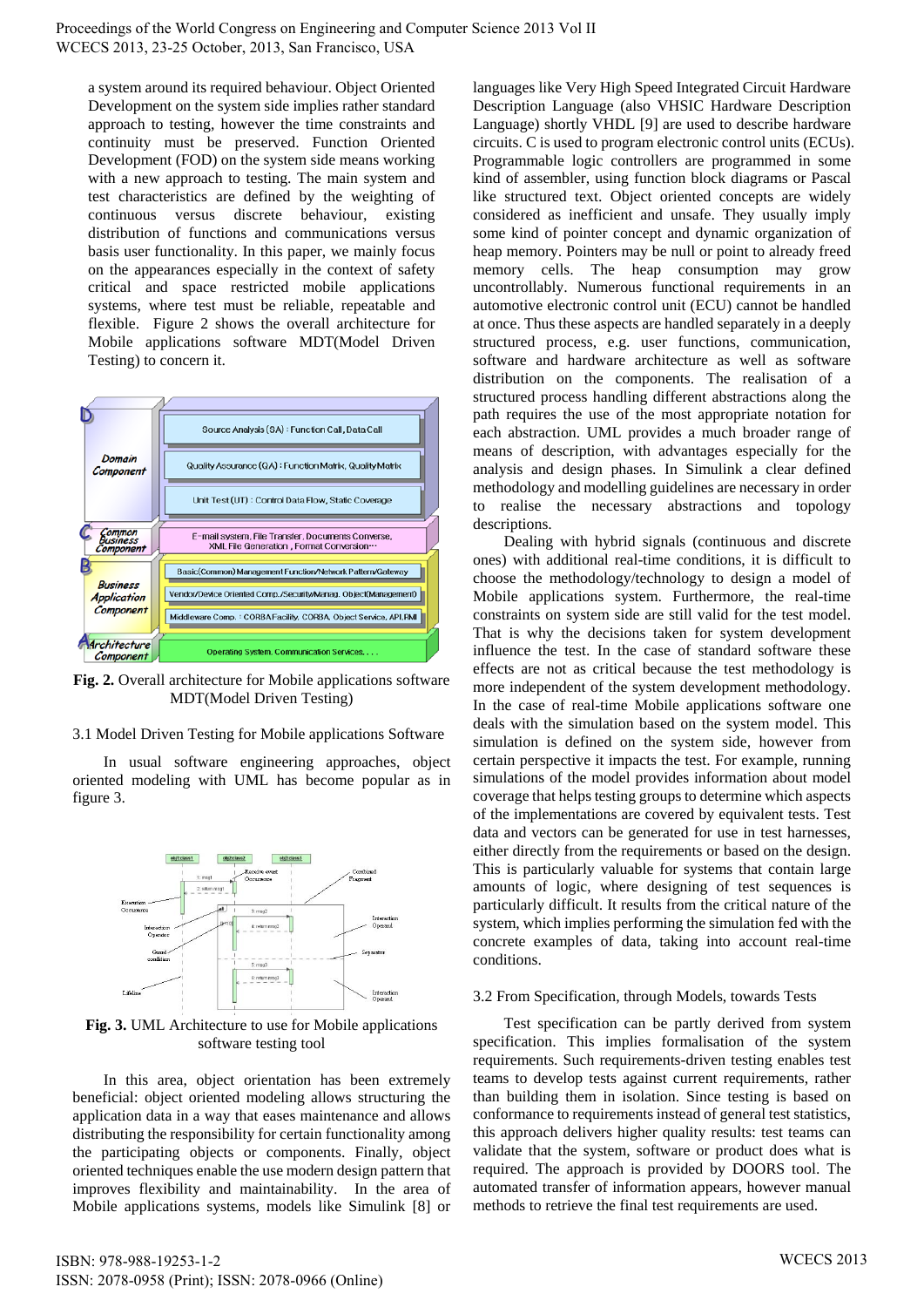a system around its required behaviour. Object Oriented Development on the system side implies rather standard approach to testing, however the time constraints and continuity must be preserved. Function Oriented Development (FOD) on the system side means working with a new approach to testing. The main system and test characteristics are defined by the weighting of continuous versus discrete behaviour, existing distribution of functions and communications versus basis user functionality. In this paper, we mainly focus on the appearances especially in the context of safety critical and space restricted mobile applications systems, where test must be reliable, repeatable and flexible. Figure 2 shows the overall architecture for Mobile applications software MDT(Model Driven Testing) to concern it.



**Fig. 2.** Overall architecture for Mobile applications software MDT(Model Driven Testing)

# 3.1 Model Driven Testing for Mobile applications Software

In usual software engineering approaches, object oriented modeling with UML has become popular as in figure 3.



**Fig. 3.** UML Architecture to use for Mobile applications software testing tool

In this area, object orientation has been extremely beneficial: object oriented modeling allows structuring the application data in a way that eases maintenance and allows distributing the responsibility for certain functionality among the participating objects or components. Finally, object oriented techniques enable the use modern design pattern that improves flexibility and maintainability. In the area of Mobile applications systems, models like Simulink [8] or

ISBN: 978-988-19253-1-2 ISSN: 2078-0958 (Print); ISSN: 2078-0966 (Online)

languages like Very High Speed Integrated Circuit Hardware Description Language (also VHSIC Hardware Description Language) shortly VHDL [9] are used to describe hardware circuits. C is used to program electronic control units (ECUs). Programmable logic controllers are programmed in some kind of assembler, using function block diagrams or Pascal like structured text. Object oriented concepts are widely considered as inefficient and unsafe. They usually imply some kind of pointer concept and dynamic organization of heap memory. Pointers may be null or point to already freed memory cells. The heap consumption may grow uncontrollably. Numerous functional requirements in an automotive electronic control unit (ECU) cannot be handled at once. Thus these aspects are handled separately in a deeply structured process, e.g. user functions, communication, software and hardware architecture as well as software distribution on the components. The realisation of a structured process handling different abstractions along the path requires the use of the most appropriate notation for each abstraction. UML provides a much broader range of means of description, with advantages especially for the analysis and design phases. In Simulink a clear defined methodology and modelling guidelines are necessary in order to realise the necessary abstractions and topology descriptions.

Dealing with hybrid signals (continuous and discrete ones) with additional real-time conditions, it is difficult to choose the methodology/technology to design a model of Mobile applications system. Furthermore, the real-time constraints on system side are still valid for the test model. That is why the decisions taken for system development influence the test. In the case of standard software these effects are not as critical because the test methodology is more independent of the system development methodology. In the case of real-time Mobile applications software one deals with the simulation based on the system model. This simulation is defined on the system side, however from certain perspective it impacts the test. For example, running simulations of the model provides information about model coverage that helps testing groups to determine which aspects of the implementations are covered by equivalent tests. Test data and vectors can be generated for use in test harnesses, either directly from the requirements or based on the design. This is particularly valuable for systems that contain large amounts of logic, where designing of test sequences is particularly difficult. It results from the critical nature of the system, which implies performing the simulation fed with the concrete examples of data, taking into account real-time conditions.

#### 3.2 From Specification, through Models, towards Tests

Test specification can be partly derived from system specification. This implies formalisation of the system requirements. Such requirements-driven testing enables test teams to develop tests against current requirements, rather than building them in isolation. Since testing is based on conformance to requirements instead of general test statistics, this approach delivers higher quality results: test teams can validate that the system, software or product does what is required. The approach is provided by DOORS tool. The automated transfer of information appears, however manual methods to retrieve the final test requirements are used.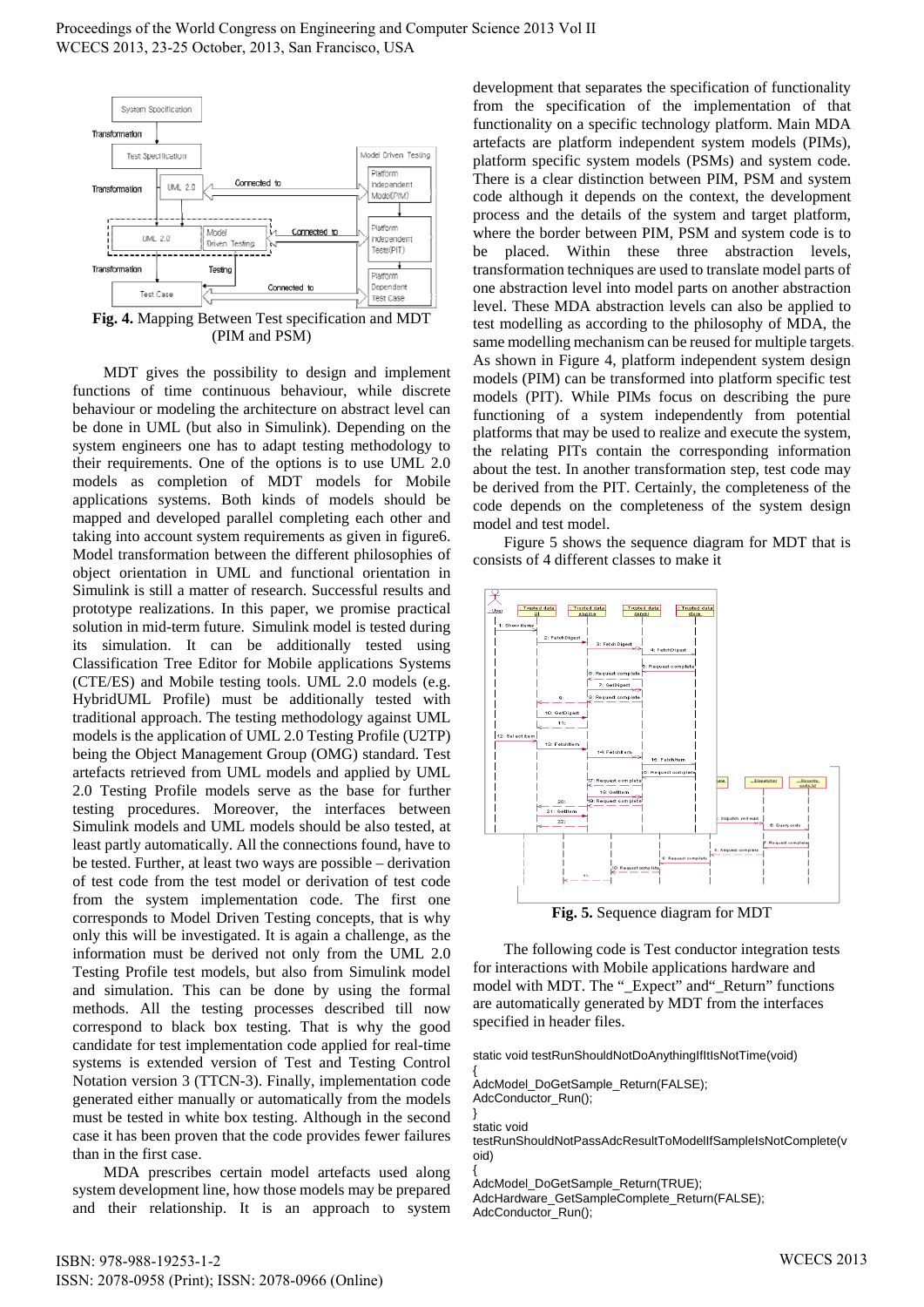

**Fig. 4.** Mapping Between Test specification and MDT (PIM and PSM)

MDT gives the possibility to design and implement functions of time continuous behaviour, while discrete behaviour or modeling the architecture on abstract level can be done in UML (but also in Simulink). Depending on the system engineers one has to adapt testing methodology to their requirements. One of the options is to use UML 2.0 models as completion of MDT models for Mobile applications systems. Both kinds of models should be mapped and developed parallel completing each other and taking into account system requirements as given in figure6. Model transformation between the different philosophies of object orientation in UML and functional orientation in Simulink is still a matter of research. Successful results and prototype realizations. In this paper, we promise practical solution in mid-term future. Simulink model is tested during its simulation. It can be additionally tested using Classification Tree Editor for Mobile applications Systems (CTE/ES) and Mobile testing tools. UML 2.0 models (e.g. HybridUML Profile) must be additionally tested with traditional approach. The testing methodology against UML models is the application of UML 2.0 Testing Profile (U2TP) being the Object Management Group (OMG) standard. Test artefacts retrieved from UML models and applied by UML 2.0 Testing Profile models serve as the base for further testing procedures. Moreover, the interfaces between Simulink models and UML models should be also tested, at least partly automatically. All the connections found, have to be tested. Further, at least two ways are possible – derivation of test code from the test model or derivation of test code from the system implementation code. The first one corresponds to Model Driven Testing concepts, that is why only this will be investigated. It is again a challenge, as the information must be derived not only from the UML 2.0 Testing Profile test models, but also from Simulink model and simulation. This can be done by using the formal methods. All the testing processes described till now correspond to black box testing. That is why the good candidate for test implementation code applied for real-time systems is extended version of Test and Testing Control Notation version 3 (TTCN-3). Finally, implementation code generated either manually or automatically from the models must be tested in white box testing. Although in the second case it has been proven that the code provides fewer failures than in the first case.

MDA prescribes certain model artefacts used along system development line, how those models may be prepared and their relationship. It is an approach to system development that separates the specification of functionality from the specification of the implementation of that functionality on a specific technology platform. Main MDA artefacts are platform independent system models (PIMs), platform specific system models (PSMs) and system code. There is a clear distinction between PIM, PSM and system code although it depends on the context, the development process and the details of the system and target platform, where the border between PIM, PSM and system code is to be placed. Within these three abstraction levels, transformation techniques are used to translate model parts of one abstraction level into model parts on another abstraction level. These MDA abstraction levels can also be applied to test modelling as according to the philosophy of MDA, the same modelling mechanism can be reused for multiple targets. As shown in Figure 4, platform independent system design models (PIM) can be transformed into platform specific test models (PIT). While PIMs focus on describing the pure functioning of a system independently from potential platforms that may be used to realize and execute the system, the relating PITs contain the corresponding information about the test. In another transformation step, test code may be derived from the PIT. Certainly, the completeness of the code depends on the completeness of the system design model and test model.

Figure 5 shows the sequence diagram for MDT that is consists of 4 different classes to make it



**Fig. 5.** Sequence diagram for MDT

The following code is Test conductor integration tests for interactions with Mobile applications hardware and model with MDT. The "\_Expect" and"\_Return" functions are automatically generated by MDT from the interfaces specified in header files.

static void testRunShouldNotDoAnythingIfItIsNotTime(void)

{ AdcModel\_DoGetSample\_Return(FALSE); AdcConductor\_Run();

} static void

testRunShouldNotPassAdcResultToModelIfSampleIsNotComplete(v oid)

{ AdcModel\_DoGetSample\_Return(TRUE); AdcHardware\_GetSampleComplete\_Return(FALSE); AdcConductor\_Run();